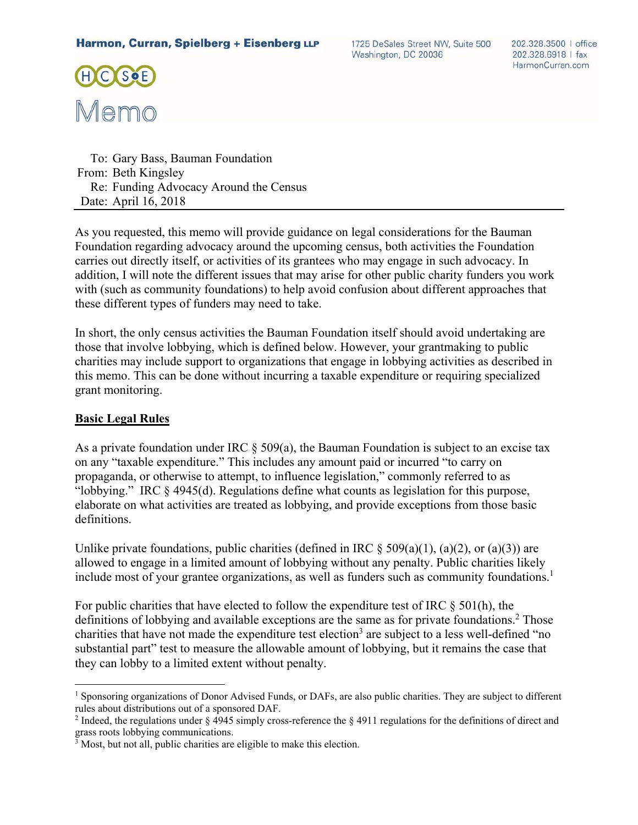1725 DeSales Street NW, Suite 500 Washington, DC 20036



 To: Gary Bass, Bauman Foundation From: Beth Kingsley Re: Funding Advocacy Around the Census Date: April 16, 2018

As you requested, this memo will provide guidance on legal considerations for the Bauman Foundation regarding advocacy around the upcoming census, both activities the Foundation carries out directly itself, or activities of its grantees who may engage in such advocacy. In addition, I will note the different issues that may arise for other public charity funders you work with (such as community foundations) to help avoid confusion about different approaches that these different types of funders may need to take.

In short, the only census activities the Bauman Foundation itself should avoid undertaking are those that involve lobbying, which is defined below. However, your grantmaking to public charities may include support to organizations that engage in lobbying activities as described in this memo. This can be done without incurring a taxable expenditure or requiring specialized grant monitoring.

#### **Basic Legal Rules**

<u>.</u>

As a private foundation under IRC  $\S$  509(a), the Bauman Foundation is subject to an excise tax on any "taxable expenditure." This includes any amount paid or incurred "to carry on propaganda, or otherwise to attempt, to influence legislation," commonly referred to as "lobbying." IRC § 4945(d). Regulations define what counts as legislation for this purpose, elaborate on what activities are treated as lobbying, and provide exceptions from those basic definitions.

Unlike private foundations, public charities (defined in IRC  $\S 509(a)(1)$ , (a)(2), or (a)(3)) are allowed to engage in a limited amount of lobbying without any penalty. Public charities likely include most of your grantee organizations, as well as funders such as community foundations.<sup>1</sup>

For public charities that have elected to follow the expenditure test of IRC § 501(h), the definitions of lobbying and available exceptions are the same as for private foundations.<sup>2</sup> Those charities that have not made the expenditure test election<sup>3</sup> are subject to a less well-defined "no substantial part" test to measure the allowable amount of lobbying, but it remains the case that they can lobby to a limited extent without penalty.

<sup>&</sup>lt;sup>1</sup> Sponsoring organizations of Donor Advised Funds, or DAFs, are also public charities. They are subject to different rules about distributions out of a sponsored DAF.

<sup>&</sup>lt;sup>2</sup> Indeed, the regulations under § 4945 simply cross-reference the § 4911 regulations for the definitions of direct and grass roots lobbying communications.

<sup>&</sup>lt;sup>3</sup> Most, but not all, public charities are eligible to make this election.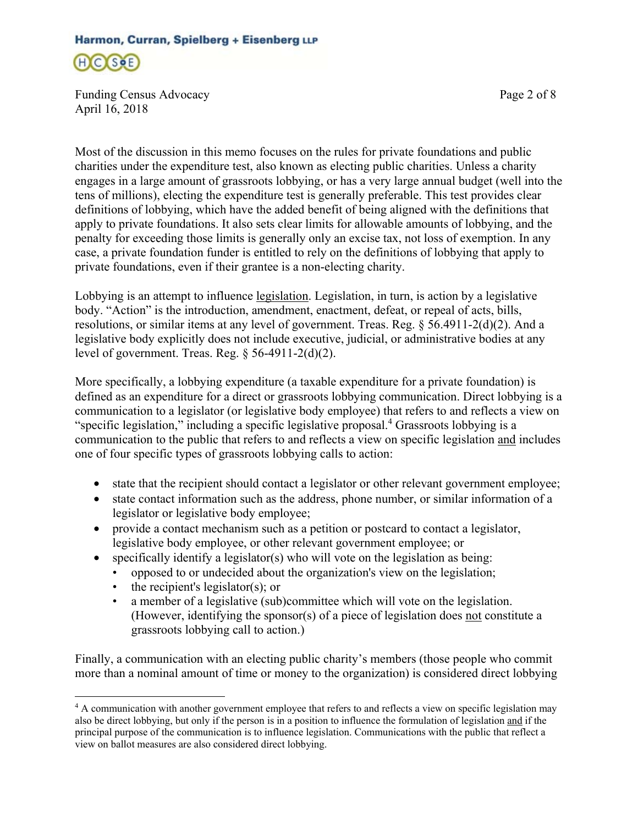

Funding Census Advocacy **Page 2 of 8** April 16, 2018

Most of the discussion in this memo focuses on the rules for private foundations and public charities under the expenditure test, also known as electing public charities. Unless a charity engages in a large amount of grassroots lobbying, or has a very large annual budget (well into the tens of millions), electing the expenditure test is generally preferable. This test provides clear definitions of lobbying, which have the added benefit of being aligned with the definitions that apply to private foundations. It also sets clear limits for allowable amounts of lobbying, and the penalty for exceeding those limits is generally only an excise tax, not loss of exemption. In any case, a private foundation funder is entitled to rely on the definitions of lobbying that apply to private foundations, even if their grantee is a non-electing charity.

Lobbying is an attempt to influence legislation. Legislation, in turn, is action by a legislative body. "Action" is the introduction, amendment, enactment, defeat, or repeal of acts, bills, resolutions, or similar items at any level of government. Treas. Reg. § 56.4911-2(d)(2). And a legislative body explicitly does not include executive, judicial, or administrative bodies at any level of government. Treas. Reg. § 56-4911-2(d)(2).

More specifically, a lobbying expenditure (a taxable expenditure for a private foundation) is defined as an expenditure for a direct or grassroots lobbying communication. Direct lobbying is a communication to a legislator (or legislative body employee) that refers to and reflects a view on "specific legislation," including a specific legislative proposal.<sup>4</sup> Grassroots lobbying is a communication to the public that refers to and reflects a view on specific legislation and includes one of four specific types of grassroots lobbying calls to action:

- state that the recipient should contact a legislator or other relevant government employee;
- state contact information such as the address, phone number, or similar information of a legislator or legislative body employee;
- provide a contact mechanism such as a petition or postcard to contact a legislator, legislative body employee, or other relevant government employee; or
- specifically identify a legislator(s) who will vote on the legislation as being:
	- opposed to or undecided about the organization's view on the legislation;
	- the recipient's legislator(s); or

 $\overline{a}$ 

• a member of a legislative (sub)committee which will vote on the legislation. (However, identifying the sponsor(s) of a piece of legislation does not constitute a grassroots lobbying call to action.)

Finally, a communication with an electing public charity's members (those people who commit more than a nominal amount of time or money to the organization) is considered direct lobbying

<sup>&</sup>lt;sup>4</sup> A communication with another government employee that refers to and reflects a view on specific legislation may also be direct lobbying, but only if the person is in a position to influence the formulation of legislation and if the principal purpose of the communication is to influence legislation. Communications with the public that reflect a view on ballot measures are also considered direct lobbying.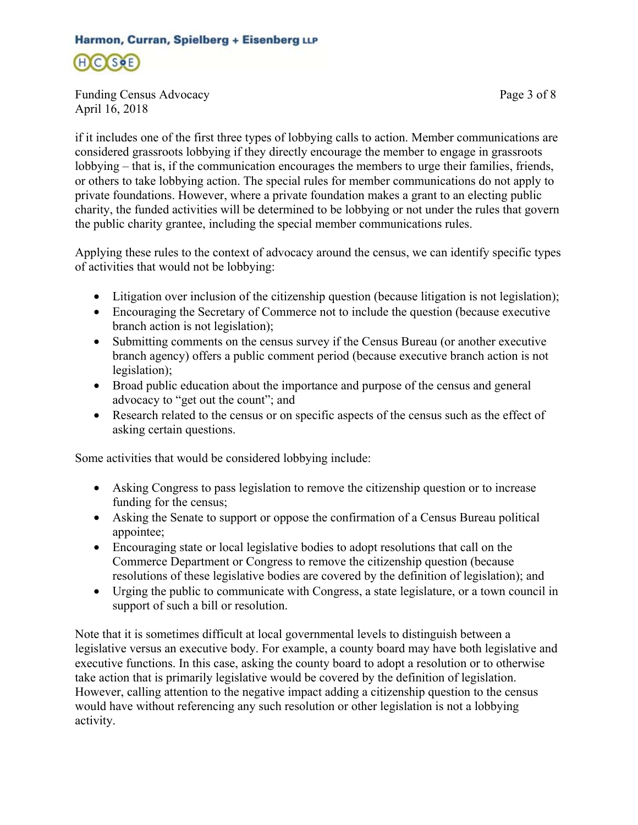$H(C)$ (Soe)

Funding Census Advocacy Page 3 of 8 April 16, 2018

if it includes one of the first three types of lobbying calls to action. Member communications are considered grassroots lobbying if they directly encourage the member to engage in grassroots lobbying – that is, if the communication encourages the members to urge their families, friends, or others to take lobbying action. The special rules for member communications do not apply to private foundations. However, where a private foundation makes a grant to an electing public charity, the funded activities will be determined to be lobbying or not under the rules that govern the public charity grantee, including the special member communications rules.

Applying these rules to the context of advocacy around the census, we can identify specific types of activities that would not be lobbying:

- Litigation over inclusion of the citizenship question (because litigation is not legislation);
- Encouraging the Secretary of Commerce not to include the question (because executive branch action is not legislation);
- Submitting comments on the census survey if the Census Bureau (or another executive branch agency) offers a public comment period (because executive branch action is not legislation);
- Broad public education about the importance and purpose of the census and general advocacy to "get out the count"; and
- Research related to the census or on specific aspects of the census such as the effect of asking certain questions.

Some activities that would be considered lobbying include:

- Asking Congress to pass legislation to remove the citizenship question or to increase funding for the census;
- Asking the Senate to support or oppose the confirmation of a Census Bureau political appointee;
- Encouraging state or local legislative bodies to adopt resolutions that call on the Commerce Department or Congress to remove the citizenship question (because resolutions of these legislative bodies are covered by the definition of legislation); and
- Urging the public to communicate with Congress, a state legislature, or a town council in support of such a bill or resolution.

Note that it is sometimes difficult at local governmental levels to distinguish between a legislative versus an executive body. For example, a county board may have both legislative and executive functions. In this case, asking the county board to adopt a resolution or to otherwise take action that is primarily legislative would be covered by the definition of legislation. However, calling attention to the negative impact adding a citizenship question to the census would have without referencing any such resolution or other legislation is not a lobbying activity.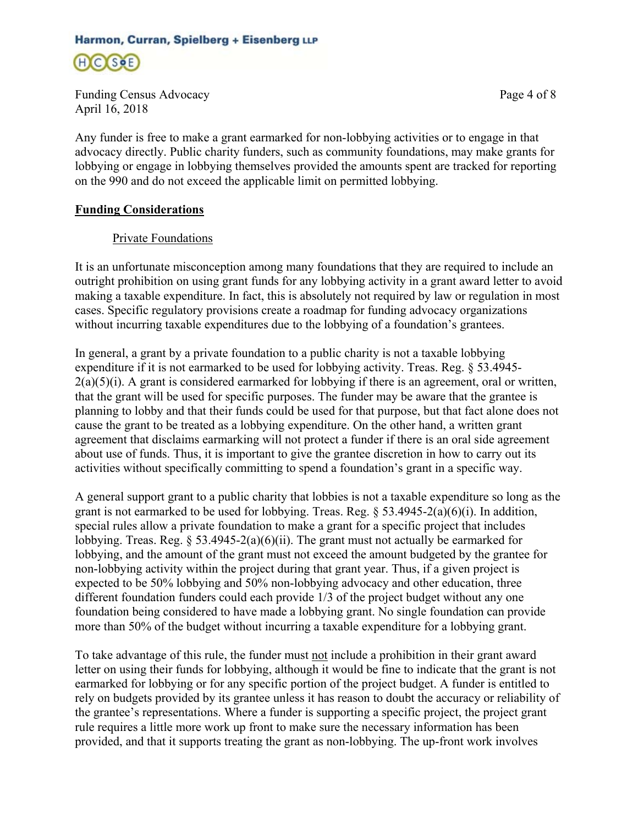H C (SoE)

Funding Census Advocacy **Page 4 of 8** April 16, 2018

Any funder is free to make a grant earmarked for non-lobbying activities or to engage in that advocacy directly. Public charity funders, such as community foundations, may make grants for lobbying or engage in lobbying themselves provided the amounts spent are tracked for reporting on the 990 and do not exceed the applicable limit on permitted lobbying.

### **Funding Considerations**

### Private Foundations

It is an unfortunate misconception among many foundations that they are required to include an outright prohibition on using grant funds for any lobbying activity in a grant award letter to avoid making a taxable expenditure. In fact, this is absolutely not required by law or regulation in most cases. Specific regulatory provisions create a roadmap for funding advocacy organizations without incurring taxable expenditures due to the lobbying of a foundation's grantees.

In general, a grant by a private foundation to a public charity is not a taxable lobbying expenditure if it is not earmarked to be used for lobbying activity. Treas. Reg. § 53.4945-  $2(a)(5)(i)$ . A grant is considered earmarked for lobbying if there is an agreement, oral or written, that the grant will be used for specific purposes. The funder may be aware that the grantee is planning to lobby and that their funds could be used for that purpose, but that fact alone does not cause the grant to be treated as a lobbying expenditure. On the other hand, a written grant agreement that disclaims earmarking will not protect a funder if there is an oral side agreement about use of funds. Thus, it is important to give the grantee discretion in how to carry out its activities without specifically committing to spend a foundation's grant in a specific way.

A general support grant to a public charity that lobbies is not a taxable expenditure so long as the grant is not earmarked to be used for lobbying. Treas. Reg.  $\S$  53.4945-2(a)(6)(i). In addition, special rules allow a private foundation to make a grant for a specific project that includes lobbying. Treas. Reg.  $\S 53.4945-2(a)(6)(ii)$ . The grant must not actually be earmarked for lobbying, and the amount of the grant must not exceed the amount budgeted by the grantee for non-lobbying activity within the project during that grant year. Thus, if a given project is expected to be 50% lobbying and 50% non-lobbying advocacy and other education, three different foundation funders could each provide 1/3 of the project budget without any one foundation being considered to have made a lobbying grant. No single foundation can provide more than 50% of the budget without incurring a taxable expenditure for a lobbying grant.

To take advantage of this rule, the funder must not include a prohibition in their grant award letter on using their funds for lobbying, although it would be fine to indicate that the grant is not earmarked for lobbying or for any specific portion of the project budget. A funder is entitled to rely on budgets provided by its grantee unless it has reason to doubt the accuracy or reliability of the grantee's representations. Where a funder is supporting a specific project, the project grant rule requires a little more work up front to make sure the necessary information has been provided, and that it supports treating the grant as non-lobbying. The up-front work involves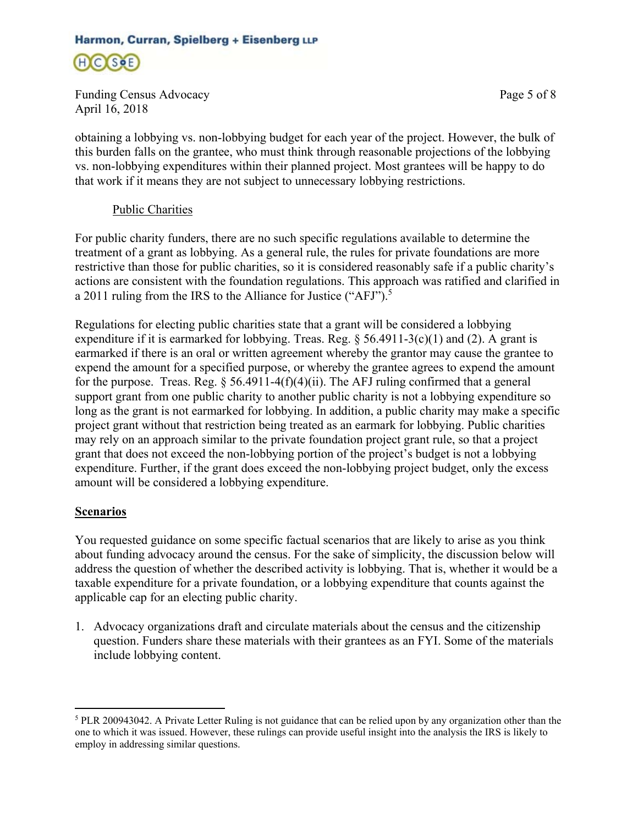H C SOE

Funding Census Advocacy Page 5 of 8 April 16, 2018

obtaining a lobbying vs. non-lobbying budget for each year of the project. However, the bulk of this burden falls on the grantee, who must think through reasonable projections of the lobbying vs. non-lobbying expenditures within their planned project. Most grantees will be happy to do that work if it means they are not subject to unnecessary lobbying restrictions.

### Public Charities

For public charity funders, there are no such specific regulations available to determine the treatment of a grant as lobbying. As a general rule, the rules for private foundations are more restrictive than those for public charities, so it is considered reasonably safe if a public charity's actions are consistent with the foundation regulations. This approach was ratified and clarified in a 2011 ruling from the IRS to the Alliance for Justice ("AFJ").<sup>5</sup>

Regulations for electing public charities state that a grant will be considered a lobbying expenditure if it is earmarked for lobbying. Treas. Reg.  $\S$  56.4911-3(c)(1) and (2). A grant is earmarked if there is an oral or written agreement whereby the grantor may cause the grantee to expend the amount for a specified purpose, or whereby the grantee agrees to expend the amount for the purpose. Treas. Reg.  $\S$  56.4911-4(f)(4)(ii). The AFJ ruling confirmed that a general support grant from one public charity to another public charity is not a lobbying expenditure so long as the grant is not earmarked for lobbying. In addition, a public charity may make a specific project grant without that restriction being treated as an earmark for lobbying. Public charities may rely on an approach similar to the private foundation project grant rule, so that a project grant that does not exceed the non-lobbying portion of the project's budget is not a lobbying expenditure. Further, if the grant does exceed the non-lobbying project budget, only the excess amount will be considered a lobbying expenditure.

#### **Scenarios**

 $\overline{a}$ 

You requested guidance on some specific factual scenarios that are likely to arise as you think about funding advocacy around the census. For the sake of simplicity, the discussion below will address the question of whether the described activity is lobbying. That is, whether it would be a taxable expenditure for a private foundation, or a lobbying expenditure that counts against the applicable cap for an electing public charity.

1. Advocacy organizations draft and circulate materials about the census and the citizenship question. Funders share these materials with their grantees as an FYI. Some of the materials include lobbying content.

<sup>&</sup>lt;sup>5</sup> PLR 200943042. A Private Letter Ruling is not guidance that can be relied upon by any organization other than the one to which it was issued. However, these rulings can provide useful insight into the analysis the IRS is likely to employ in addressing similar questions.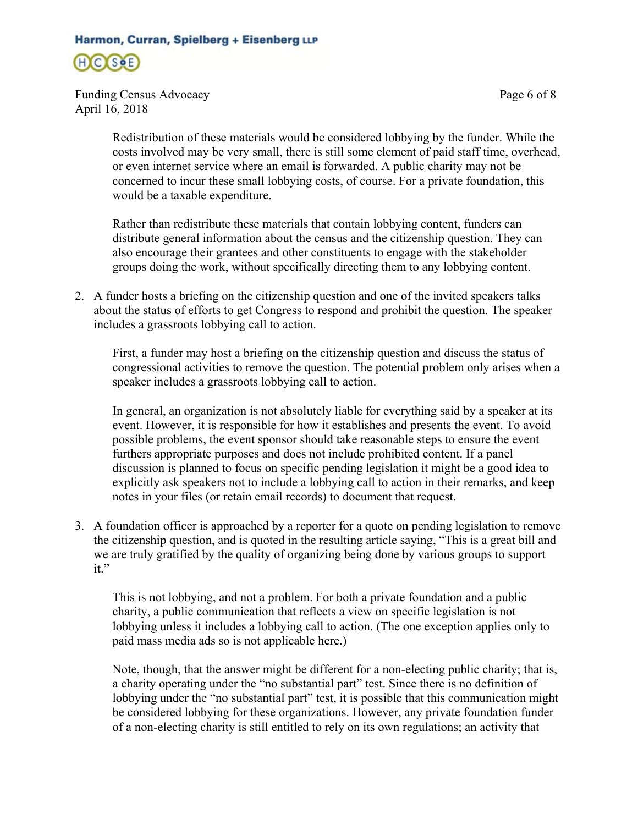

Funding Census Advocacy Page 6 of 8 April 16, 2018

Redistribution of these materials would be considered lobbying by the funder. While the costs involved may be very small, there is still some element of paid staff time, overhead, or even internet service where an email is forwarded. A public charity may not be concerned to incur these small lobbying costs, of course. For a private foundation, this would be a taxable expenditure.

Rather than redistribute these materials that contain lobbying content, funders can distribute general information about the census and the citizenship question. They can also encourage their grantees and other constituents to engage with the stakeholder groups doing the work, without specifically directing them to any lobbying content.

2. A funder hosts a briefing on the citizenship question and one of the invited speakers talks about the status of efforts to get Congress to respond and prohibit the question. The speaker includes a grassroots lobbying call to action.

First, a funder may host a briefing on the citizenship question and discuss the status of congressional activities to remove the question. The potential problem only arises when a speaker includes a grassroots lobbying call to action.

In general, an organization is not absolutely liable for everything said by a speaker at its event. However, it is responsible for how it establishes and presents the event. To avoid possible problems, the event sponsor should take reasonable steps to ensure the event furthers appropriate purposes and does not include prohibited content. If a panel discussion is planned to focus on specific pending legislation it might be a good idea to explicitly ask speakers not to include a lobbying call to action in their remarks, and keep notes in your files (or retain email records) to document that request.

3. A foundation officer is approached by a reporter for a quote on pending legislation to remove the citizenship question, and is quoted in the resulting article saying, "This is a great bill and we are truly gratified by the quality of organizing being done by various groups to support it."

This is not lobbying, and not a problem. For both a private foundation and a public charity, a public communication that reflects a view on specific legislation is not lobbying unless it includes a lobbying call to action. (The one exception applies only to paid mass media ads so is not applicable here.)

Note, though, that the answer might be different for a non-electing public charity; that is, a charity operating under the "no substantial part" test. Since there is no definition of lobbying under the "no substantial part" test, it is possible that this communication might be considered lobbying for these organizations. However, any private foundation funder of a non-electing charity is still entitled to rely on its own regulations; an activity that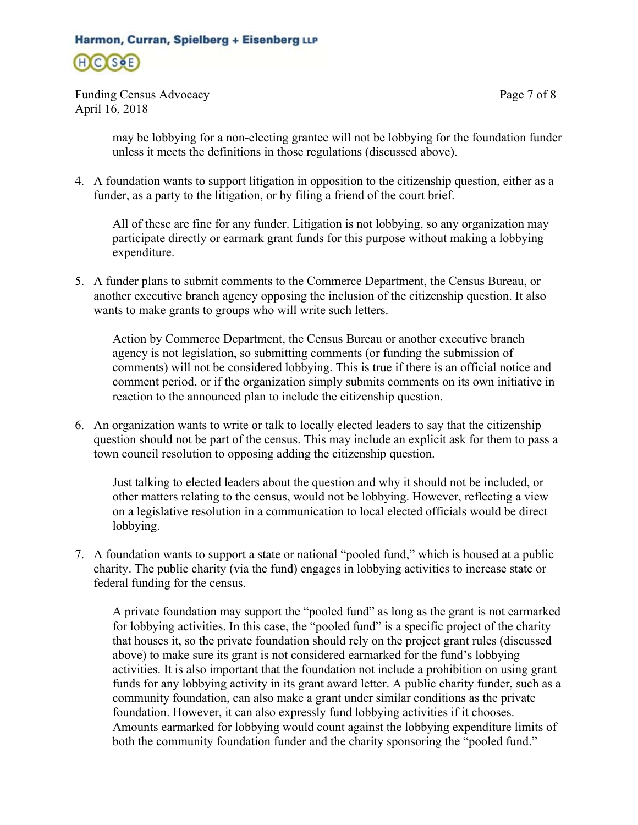

Funding Census Advocacy Page 7 of 8 April 16, 2018

may be lobbying for a non-electing grantee will not be lobbying for the foundation funder unless it meets the definitions in those regulations (discussed above).

4. A foundation wants to support litigation in opposition to the citizenship question, either as a funder, as a party to the litigation, or by filing a friend of the court brief.

All of these are fine for any funder. Litigation is not lobbying, so any organization may participate directly or earmark grant funds for this purpose without making a lobbying expenditure.

5. A funder plans to submit comments to the Commerce Department, the Census Bureau, or another executive branch agency opposing the inclusion of the citizenship question. It also wants to make grants to groups who will write such letters.

Action by Commerce Department, the Census Bureau or another executive branch agency is not legislation, so submitting comments (or funding the submission of comments) will not be considered lobbying. This is true if there is an official notice and comment period, or if the organization simply submits comments on its own initiative in reaction to the announced plan to include the citizenship question.

6. An organization wants to write or talk to locally elected leaders to say that the citizenship question should not be part of the census. This may include an explicit ask for them to pass a town council resolution to opposing adding the citizenship question.

Just talking to elected leaders about the question and why it should not be included, or other matters relating to the census, would not be lobbying. However, reflecting a view on a legislative resolution in a communication to local elected officials would be direct lobbying.

7. A foundation wants to support a state or national "pooled fund," which is housed at a public charity. The public charity (via the fund) engages in lobbying activities to increase state or federal funding for the census.

A private foundation may support the "pooled fund" as long as the grant is not earmarked for lobbying activities. In this case, the "pooled fund" is a specific project of the charity that houses it, so the private foundation should rely on the project grant rules (discussed above) to make sure its grant is not considered earmarked for the fund's lobbying activities. It is also important that the foundation not include a prohibition on using grant funds for any lobbying activity in its grant award letter. A public charity funder, such as a community foundation, can also make a grant under similar conditions as the private foundation. However, it can also expressly fund lobbying activities if it chooses. Amounts earmarked for lobbying would count against the lobbying expenditure limits of both the community foundation funder and the charity sponsoring the "pooled fund."